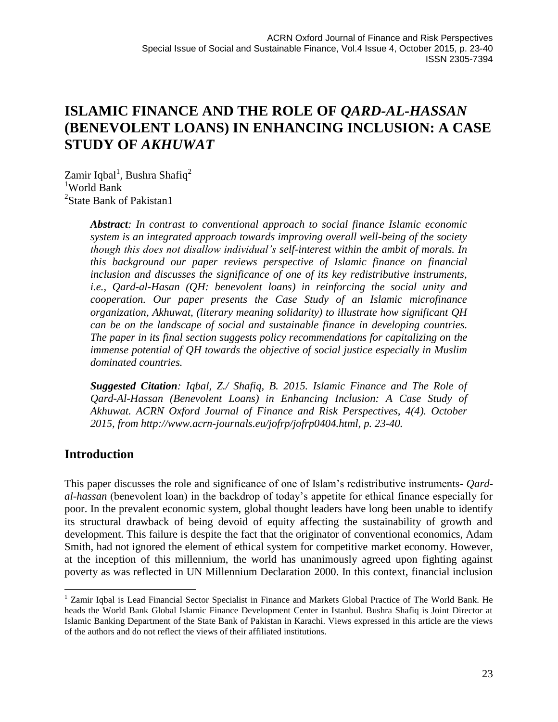Zamir Iqbal<sup>1</sup>, Bushra Shafiq<sup>2</sup> <sup>1</sup>World Bank <sup>2</sup>State Bank of Pakistan1

> *Abstract: In contrast to conventional approach to social finance Islamic economic system is an integrated approach towards improving overall well-being of the society though this does not disallow individual's self-interest within the ambit of morals. In this background our paper reviews perspective of Islamic finance on financial inclusion and discusses the significance of one of its key redistributive instruments, i.e., Qard-al-Hasan (QH: benevolent loans) in reinforcing the social unity and cooperation. Our paper presents the Case Study of an Islamic microfinance organization, Akhuwat, (literary meaning solidarity) to illustrate how significant QH can be on the landscape of social and sustainable finance in developing countries. The paper in its final section suggests policy recommendations for capitalizing on the immense potential of QH towards the objective of social justice especially in Muslim dominated countries.*

> *Suggested Citation: Iqbal, Z./ Shafiq, B. 2015. Islamic Finance and The Role of Qard-Al-Hassan (Benevolent Loans) in Enhancing Inclusion: A Case Study of Akhuwat. ACRN Oxford Journal of Finance and Risk Perspectives, 4(4). October 2015, from [http://www.acrn-journals.eu/jofrp/jofrp0404.html,](http://www.acrn-journals.eu/jofrp/jofrp0404.html) p. 23-40.*

# **Introduction**

 $\overline{a}$ 

This paper discusses the role and significance of one of Islam's redistributive instruments- *Qardal-hassan* (benevolent loan) in the backdrop of today's appetite for ethical finance especially for poor. In the prevalent economic system, global thought leaders have long been unable to identify its structural drawback of being devoid of equity affecting the sustainability of growth and development. This failure is despite the fact that the originator of conventional economics, Adam Smith, had not ignored the element of ethical system for competitive market economy. However, at the inception of this millennium, the world has unanimously agreed upon fighting against poverty as was reflected in UN Millennium Declaration 2000. In this context, financial inclusion

<sup>&</sup>lt;sup>1</sup> Zamir Iqbal is Lead Financial Sector Specialist in Finance and Markets Global Practice of The World Bank. He heads the World Bank Global Islamic Finance Development Center in Istanbul. Bushra Shafiq is Joint Director at Islamic Banking Department of the State Bank of Pakistan in Karachi. Views expressed in this article are the views of the authors and do not reflect the views of their affiliated institutions.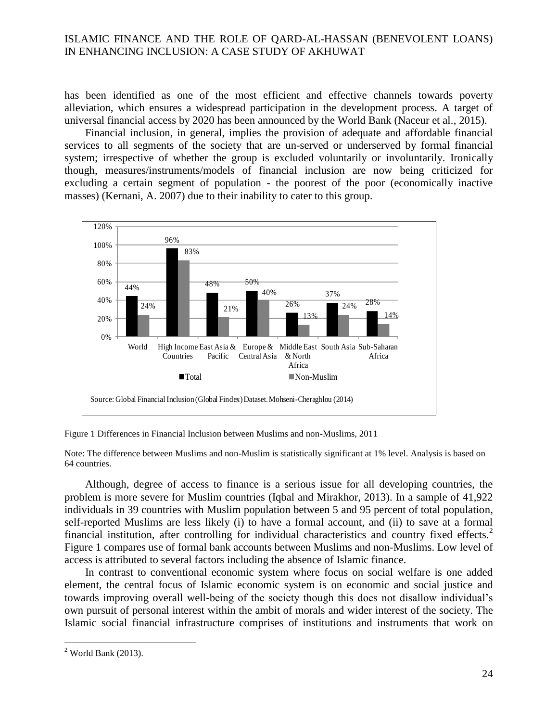has been identified as one of the most efficient and effective channels towards poverty alleviation, which ensures a widespread participation in the development process. A target of universal financial access by 2020 has been announced by the World Bank (Naceur et al., 2015).

Financial inclusion, in general, implies the provision of adequate and affordable financial services to all segments of the society that are un-served or underserved by formal financial system; irrespective of whether the group is excluded voluntarily or involuntarily. Ironically though, measures/instruments/models of financial inclusion are now being criticized for excluding a certain segment of population - the poorest of the poor (economically inactive masses) (Kernani, A. 2007) due to their inability to cater to this group. **Figure 1 :Differences in Financial Inclusion between Muslims and non-**



Figure 1 Differences in Financial Inclusion between Muslims and non-Muslims, 2011

Note: The difference between Muslims and non-Muslim is statistically significant at 1% level. Analysis is based on 64 countries.

Although, degree of access to finance is a serious issue for all developing countries, the problem is more severe for Muslim countries (Iqbal and Mirakhor, 2013). In a sample of 41,922 individuals in 39 countries with Muslim population between 5 and 95 percent of total population, self-reported Muslims are less likely (i) to have a formal account, and (ii) to save at a formal financial institution, after controlling for individual characteristics and country fixed effects.<sup>2</sup> Figure 1 compares use of formal bank accounts between Muslims and non-Muslims. Low level of access is attributed to several factors including the absence of Islamic finance.

In contrast to conventional economic system where focus on social welfare is one added element, the central focus of Islamic economic system is on economic and social justice and towards improving overall well-being of the society though this does not disallow individual's own pursuit of personal interest within the ambit of morals and wider interest of the society. The Islamic social financial infrastructure comprises of institutions and instruments that work on

 $2$  World Bank (2013).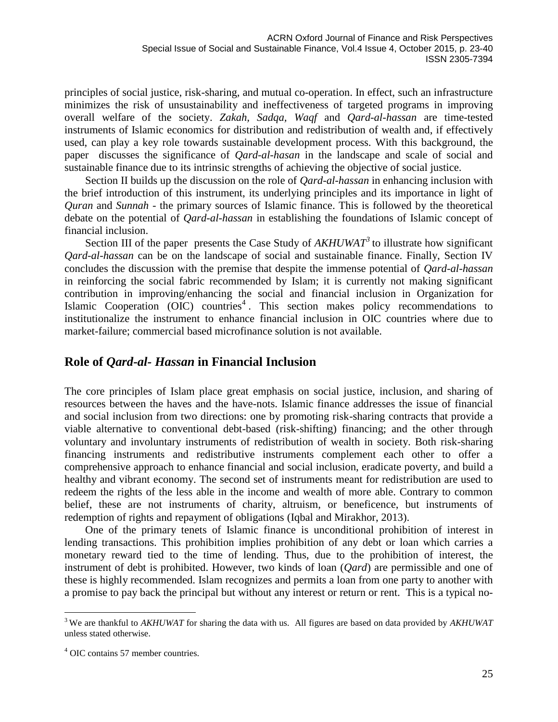principles of social justice, risk-sharing, and mutual co-operation. In effect, such an infrastructure minimizes the risk of unsustainability and ineffectiveness of targeted programs in improving overall welfare of the society. *Zakah, Sadqa, Waqf* and *Qard-al-hassan* are time-tested instruments of Islamic economics for distribution and redistribution of wealth and, if effectively used, can play a key role towards sustainable development process. With this background, the paper discusses the significance of *Qard-al-hasan* in the landscape and scale of social and sustainable finance due to its intrinsic strengths of achieving the objective of social justice.

Section II builds up the discussion on the role of *Qard-al-hassan* in enhancing inclusion with the brief introduction of this instrument, its underlying principles and its importance in light of *Quran* and *Sunnah* - the primary sources of Islamic finance. This is followed by the theoretical debate on the potential of *Qard-al-hassan* in establishing the foundations of Islamic concept of financial inclusion.

Section III of the paper presents the Case Study of  $AKHUWAT<sup>3</sup>$  to illustrate how significant *Qard-al-hassan* can be on the landscape of social and sustainable finance. Finally, Section IV concludes the discussion with the premise that despite the immense potential of *Qard-al-hassan* in reinforcing the social fabric recommended by Islam; it is currently not making significant contribution in improving/enhancing the social and financial inclusion in Organization for Islamic Cooperation (OIC) countries<sup>4</sup>. This section makes policy recommendations to institutionalize the instrument to enhance financial inclusion in OIC countries where due to market-failure; commercial based microfinance solution is not available.

### **Role of** *Qard-al- Hassan* **in Financial Inclusion**

The core principles of Islam place great emphasis on social justice, inclusion, and sharing of resources between the haves and the have-nots. Islamic finance addresses the issue of financial and social inclusion from two directions: one by promoting risk-sharing contracts that provide a viable alternative to conventional debt-based (risk-shifting) financing; and the other through voluntary and involuntary instruments of redistribution of wealth in society. Both risk-sharing financing instruments and redistributive instruments complement each other to offer a comprehensive approach to enhance financial and social inclusion, eradicate poverty, and build a healthy and vibrant economy. The second set of instruments meant for redistribution are used to redeem the rights of the less able in the income and wealth of more able. Contrary to common belief, these are not instruments of charity, altruism, or beneficence, but instruments of redemption of rights and repayment of obligations (Iqbal and Mirakhor, 2013).

One of the primary tenets of Islamic finance is unconditional prohibition of interest in lending transactions. This prohibition implies prohibition of any debt or loan which carries a monetary reward tied to the time of lending. Thus, due to the prohibition of interest, the instrument of debt is prohibited. However, two kinds of loan (*Qard*) are permissible and one of these is highly recommended. Islam recognizes and permits a loan from one party to another with a promise to pay back the principal but without any interest or return or rent. This is a typical no-

<sup>3</sup> We are thankful to *AKHUWAT* for sharing the data with us. All figures are based on data provided by *AKHUWAT*  unless stated otherwise.

<sup>4</sup> OIC contains 57 member countries.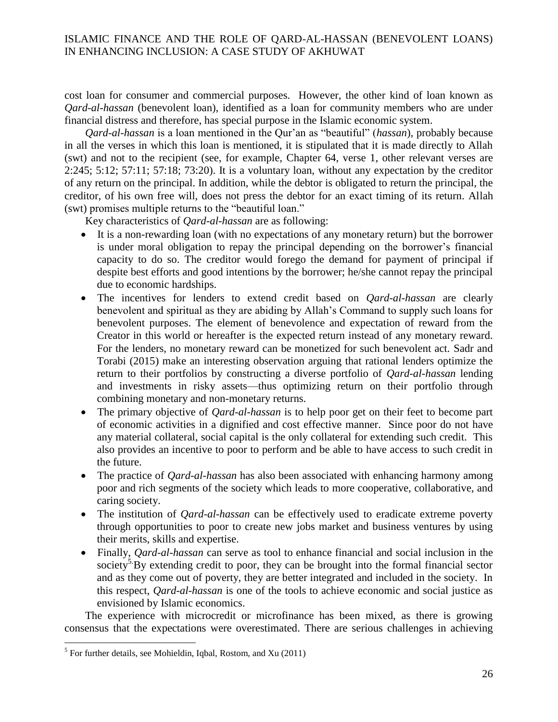cost loan for consumer and commercial purposes. However, the other kind of loan known as *Qard-al-hassan* (benevolent loan), identified as a loan for community members who are under financial distress and therefore, has special purpose in the Islamic economic system.

*Qard-al-hassan* is a loan mentioned in the Qur'an as "beautiful" (*hassan*), probably because in all the verses in which this loan is mentioned, it is stipulated that it is made directly to Allah (swt) and not to the recipient (see, for example, Chapter 64, verse 1, other relevant verses are 2:245; 5:12; 57:11; 57:18; 73:20). It is a voluntary loan, without any expectation by the creditor of any return on the principal. In addition, while the debtor is obligated to return the principal, the creditor, of his own free will, does not press the debtor for an exact timing of its return. Allah (swt) promises multiple returns to the "beautiful loan."

Key characteristics of *Qard-al-hassan* are as following:

- It is a non-rewarding loan (with no expectations of any monetary return) but the borrower is under moral obligation to repay the principal depending on the borrower's financial capacity to do so. The creditor would forego the demand for payment of principal if despite best efforts and good intentions by the borrower; he/she cannot repay the principal due to economic hardships.
- The incentives for lenders to extend credit based on *Qard-al-hassan* are clearly benevolent and spiritual as they are abiding by Allah's Command to supply such loans for benevolent purposes. The element of benevolence and expectation of reward from the Creator in this world or hereafter is the expected return instead of any monetary reward. For the lenders, no monetary reward can be monetized for such benevolent act. Sadr and Torabi (2015) make an interesting observation arguing that rational lenders optimize the return to their portfolios by constructing a diverse portfolio of *Qard-al-hassan* lending and investments in risky assets—thus optimizing return on their portfolio through combining monetary and non-monetary returns.
- The primary objective of *Qard-al-hassan* is to help poor get on their feet to become part of economic activities in a dignified and cost effective manner. Since poor do not have any material collateral, social capital is the only collateral for extending such credit. This also provides an incentive to poor to perform and be able to have access to such credit in the future.
- The practice of *Qard-al-hassan* has also been associated with enhancing harmony among poor and rich segments of the society which leads to more cooperative, collaborative, and caring society.
- The institution of *Qard-al-hassan* can be effectively used to eradicate extreme poverty through opportunities to poor to create new jobs market and business ventures by using their merits, skills and expertise.
- Finally, *Qard-al-hassan* can serve as tool to enhance financial and social inclusion in the society<sup>5</sup>. By extending credit to poor, they can be brought into the formal financial sector and as they come out of poverty, they are better integrated and included in the society. In this respect, *Qard-al-hassan* is one of the tools to achieve economic and social justice as envisioned by Islamic economics.

The experience with microcredit or microfinance has been mixed, as there is growing consensus that the expectations were overestimated. There are serious challenges in achieving

 5 For further details, see Mohieldin, Iqbal, Rostom, and Xu (2011)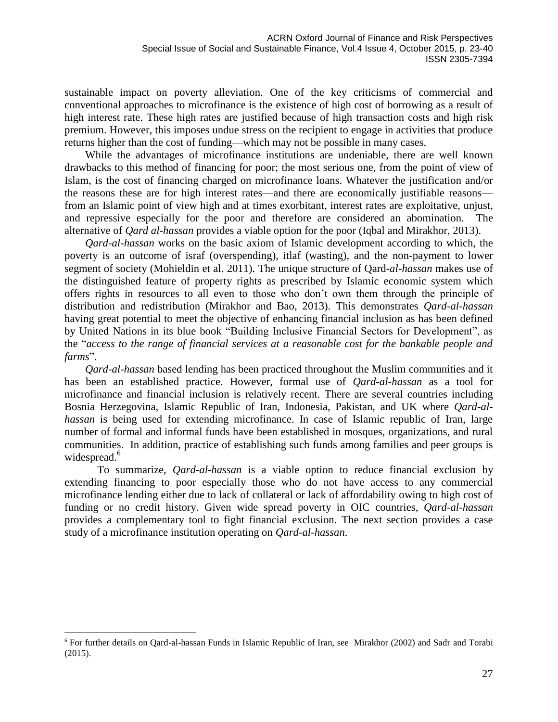sustainable impact on poverty alleviation. One of the key criticisms of commercial and conventional approaches to microfinance is the existence of high cost of borrowing as a result of high interest rate. These high rates are justified because of high transaction costs and high risk premium. However, this imposes undue stress on the recipient to engage in activities that produce returns higher than the cost of funding—which may not be possible in many cases.

While the advantages of microfinance institutions are undeniable, there are well known drawbacks to this method of financing for poor; the most serious one, from the point of view of Islam, is the cost of financing charged on microfinance loans. Whatever the justification and/or the reasons these are for high interest rates—and there are economically justifiable reasons from an Islamic point of view high and at times exorbitant, interest rates are exploitative, unjust, and repressive especially for the poor and therefore are considered an abomination. The alternative of *Qard al-hassan* provides a viable option for the poor (Iqbal and Mirakhor, 2013).

*Qard-al-hassan* works on the basic axiom of Islamic development according to which, the poverty is an outcome of israf (overspending), itlaf (wasting), and the non-payment to lower segment of society (Mohieldin et al. 2011). The unique structure of Qard*-al-hassan* makes use of the distinguished feature of property rights as prescribed by Islamic economic system which offers rights in resources to all even to those who don't own them through the principle of distribution and redistribution (Mirakhor and Bao, 2013). This demonstrates *Qard-al-hassan* having great potential to meet the objective of enhancing financial inclusion as has been defined by United Nations in its blue book "Building Inclusive Financial Sectors for Development", as the "*access to the range of financial services at a reasonable cost for the bankable people and farms*".

*Qard-al-hassan* based lending has been practiced throughout the Muslim communities and it has been an established practice. However, formal use of *Qard-al-hassan* as a tool for microfinance and financial inclusion is relatively recent. There are several countries including Bosnia Herzegovina, Islamic Republic of Iran, Indonesia, Pakistan, and UK where *Qard-alhassan* is being used for extending microfinance. In case of Islamic republic of Iran, large number of formal and informal funds have been established in mosques, organizations, and rural communities. In addition, practice of establishing such funds among families and peer groups is widespread. 6

To summarize, *Qard-al-hassan* is a viable option to reduce financial exclusion by extending financing to poor especially those who do not have access to any commercial microfinance lending either due to lack of collateral or lack of affordability owing to high cost of funding or no credit history. Given wide spread poverty in OIC countries, *Qard-al-hassan* provides a complementary tool to fight financial exclusion. The next section provides a case study of a microfinance institution operating on *Qard-al-hassan*.

<sup>6</sup> For further details on Qard-al-hassan Funds in Islamic Republic of Iran, see Mirakhor (2002) and Sadr and Torabi (2015).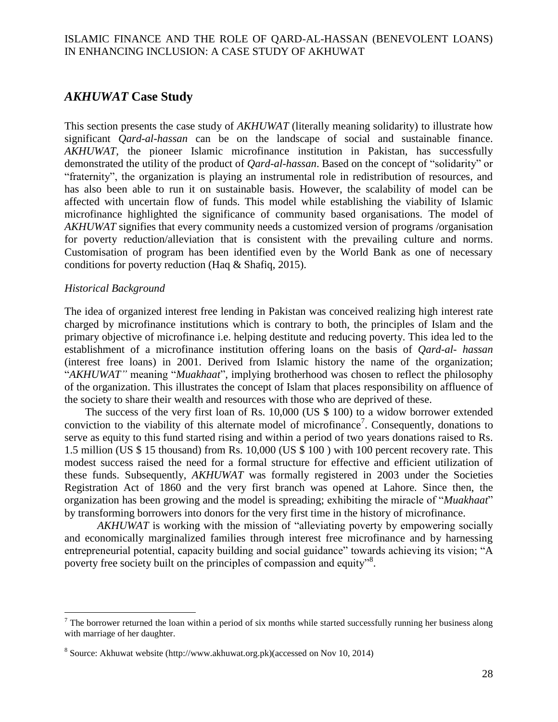## *AKHUWAT* **Case Study**

This section presents the case study of *AKHUWAT* (literally meaning solidarity) to illustrate how significant *Qard-al-hassan* can be on the landscape of social and sustainable finance. *AKHUWAT,* the pioneer Islamic microfinance institution in Pakistan, has successfully demonstrated the utility of the product of *Qard-al-hassan*. Based on the concept of "solidarity" or "fraternity", the organization is playing an instrumental role in redistribution of resources, and has also been able to run it on sustainable basis. However, the scalability of model can be affected with uncertain flow of funds. This model while establishing the viability of Islamic microfinance highlighted the significance of community based organisations. The model of *AKHUWAT* signifies that every community needs a customized version of programs /organisation for poverty reduction/alleviation that is consistent with the prevailing culture and norms. Customisation of program has been identified even by the World Bank as one of necessary conditions for poverty reduction (Haq & Shafiq, 2015).

#### *Historical Background*

 $\overline{a}$ 

The idea of organized interest free lending in Pakistan was conceived realizing high interest rate charged by microfinance institutions which is contrary to both, the principles of Islam and the primary objective of microfinance i.e. helping destitute and reducing poverty. This idea led to the establishment of a microfinance institution offering loans on the basis of *Qard-al- hassan* (interest free loans) in 2001. Derived from Islamic history the name of the organization; "*AKHUWAT"* meaning "*Muakhaat*", implying brotherhood was chosen to reflect the philosophy of the organization. This illustrates the concept of Islam that places responsibility on affluence of the society to share their wealth and resources with those who are deprived of these.

The success of the very first loan of Rs. 10,000 (US \$ 100) to a widow borrower extended conviction to the viability of this alternate model of microfinance<sup>7</sup>. Consequently, donations to serve as equity to this fund started rising and within a period of two years donations raised to Rs. 1.5 million (US \$ 15 thousand) from Rs. 10,000 (US \$ 100 ) with 100 percent recovery rate. This modest success raised the need for a formal structure for effective and efficient utilization of these funds. Subsequently, *AKHUWAT* was formally registered in 2003 under the Societies Registration Act of 1860 and the very first branch was opened at Lahore. Since then, the organization has been growing and the model is spreading; exhibiting the miracle of "*Muakhaat*" by transforming borrowers into donors for the very first time in the history of microfinance.

*AKHUWAT* is working with the mission of "alleviating poverty by empowering socially and economically marginalized families through interest free microfinance and by harnessing entrepreneurial potential, capacity building and social guidance" towards achieving its vision; "A poverty free society built on the principles of compassion and equity"<sup>8</sup>.

 $<sup>7</sup>$  The borrower returned the loan within a period of six months while started successfully running her business along</sup> with marriage of her daughter.

<sup>&</sup>lt;sup>8</sup> Source: Akhuwat website [\(http://www.akhuwat.org.pk\)\(accessed](http://www.akhuwat.org.pk)(accessed/) on Nov 10, 2014)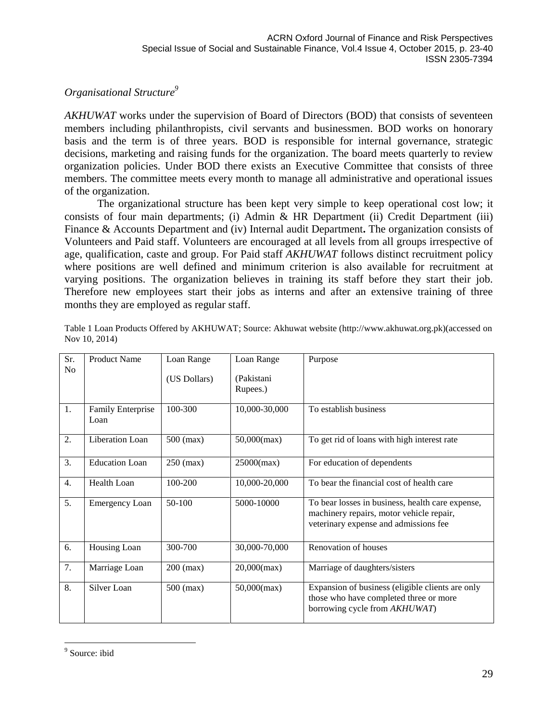# *Organisational Structure<sup>9</sup>*

*AKHUWAT* works under the supervision of Board of Directors (BOD) that consists of seventeen members including philanthropists, civil servants and businessmen. BOD works on honorary basis and the term is of three years. BOD is responsible for internal governance, strategic decisions, marketing and raising funds for the organization. The board meets quarterly to review organization policies. Under BOD there exists an Executive Committee that consists of three members. The committee meets every month to manage all administrative and operational issues of the organization.

The organizational structure has been kept very simple to keep operational cost low; it consists of four main departments; (i) Admin & HR Department (ii) Credit Department (iii) Finance & Accounts Department and (iv) Internal audit Department**.** The organization consists of Volunteers and Paid staff. Volunteers are encouraged at all levels from all groups irrespective of age, qualification, caste and group. For Paid staff *AKHUWAT* follows distinct recruitment policy where positions are well defined and minimum criterion is also available for recruitment at varying positions. The organization believes in training its staff before they start their job. Therefore new employees start their jobs as interns and after an extensive training of three months they are employed as regular staff.

| Sr.<br>N <sub>o</sub> | <b>Product Name</b>              | Loan Range<br>(US Dollars) | Loan Range<br>(Pakistani<br>Rupees.) | Purpose                                                                                                                               |
|-----------------------|----------------------------------|----------------------------|--------------------------------------|---------------------------------------------------------------------------------------------------------------------------------------|
| 1.                    | <b>Family Enterprise</b><br>Loan | 100-300                    | 10,000-30,000                        | To establish business                                                                                                                 |
| 2.                    | Liberation Loan                  | $500$ (max)                | $50,000$ (max)                       | To get rid of loans with high interest rate                                                                                           |
| 3.                    | <b>Education Loan</b>            | $250$ (max)                | $25000$ (max)                        | For education of dependents                                                                                                           |
| 4.                    | Health Loan                      | 100-200                    | 10,000-20,000                        | To bear the financial cost of health care                                                                                             |
| 5.                    | <b>Emergency Loan</b>            | 50-100                     | 5000-10000                           | To bear losses in business, health care expense,<br>machinery repairs, motor vehicle repair,<br>veterinary expense and admissions fee |
| 6.                    | Housing Loan                     | 300-700                    | 30,000-70,000                        | Renovation of houses                                                                                                                  |
| 7.                    | Marriage Loan                    | $200$ (max)                | $20,000$ (max)                       | Marriage of daughters/sisters                                                                                                         |
| 8.                    | Silver Loan                      | $500$ (max)                | $50,000$ (max)                       | Expansion of business (eligible clients are only<br>those who have completed three or more<br>borrowing cycle from AKHUWAT)           |

Table 1 Loan Products Offered by AKHUWAT; Source: Akhuwat website [\(http://www.akhuwat.org.pk\)\(accessed](http://www.akhuwat.org.pk)(accessed/) on Nov 10, 2014)

<sup>&</sup>lt;sup>9</sup> Source: ibid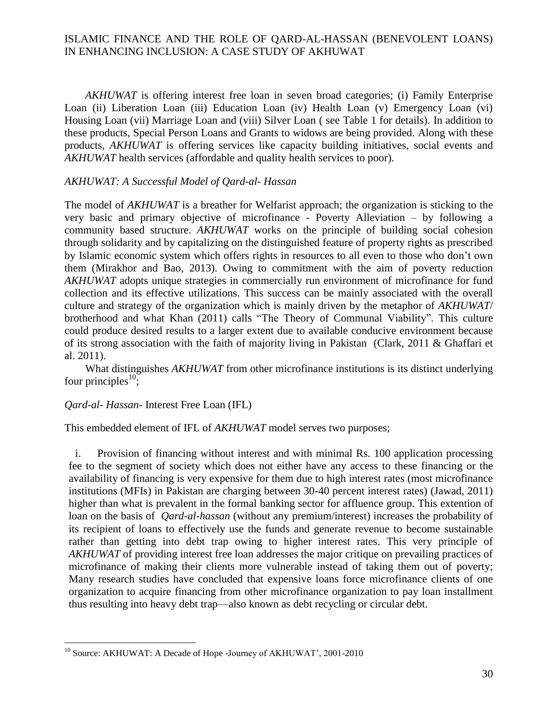*AKHUWAT* is offering interest free loan in seven broad categories; (i) Family Enterprise Loan (ii) Liberation Loan (iii) Education Loan (iv) Health Loan (v) Emergency Loan (vi) Housing Loan (vii) Marriage Loan and (viii) Silver Loan ( see Table 1 for details). In addition to these products, Special Person Loans and Grants to widows are being provided. Along with these products, *AKHUWAT* is offering services like capacity building initiatives, social events and *AKHUWAT* health services (affordable and quality health services to poor).

#### *AKHUWAT: A Successful Model of Qard-al- Hassan*

The model of *AKHUWAT* is a breather for Welfarist approach; the organization is sticking to the very basic and primary objective of microfinance - Poverty Alleviation – by following a community based structure. *AKHUWAT* works on the principle of building social cohesion through solidarity and by capitalizing on the distinguished feature of property rights as prescribed by Islamic economic system which offers rights in resources to all even to those who don't own them (Mirakhor and Bao, 2013). Owing to commitment with the aim of poverty reduction *AKHUWAT* adopts unique strategies in commercially run environment of microfinance for fund collection and its effective utilizations. This success can be mainly associated with the overall culture and strategy of the organization which is mainly driven by the metaphor of *AKHUWAT*/ brotherhood and what Khan (2011) calls "The Theory of Communal Viability". This culture could produce desired results to a larger extent due to available conducive environment because of its strong association with the faith of majority living in Pakistan (Clark, 2011 & Ghaffari et al. 2011).

What distinguishes *AKHUWAT* from other microfinance institutions is its distinct underlying four principles<sup>10</sup>;

#### *Qard-al- Hassan*- Interest Free Loan (IFL)

 $\overline{a}$ 

This embedded element of IFL of *AKHUWAT* model serves two purposes;

i. Provision of financing without interest and with minimal Rs. 100 application processing fee to the segment of society which does not either have any access to these financing or the availability of financing is very expensive for them due to high interest rates (most microfinance institutions (MFIs) in Pakistan are charging between 30-40 percent interest rates) (Jawad, 2011) higher than what is prevalent in the formal banking sector for affluence group. This extention of loan on the basis of *Qard-al-hassan* (without any premium/interest) increases the probability of its recipient of loans to effectively use the funds and generate revenue to become sustainable rather than getting into debt trap owing to higher interest rates. This very principle of *AKHUWAT* of providing interest free loan addresses the major critique on prevailing practices of microfinance of making their clients more vulnerable instead of taking them out of poverty; Many research studies have concluded that expensive loans force microfinance clients of one organization to acquire financing from other microfinance organization to pay loan installment thus resulting into heavy debt trap—also known as debt recycling or circular debt.

<sup>&</sup>lt;sup>10</sup> Source: AKHUWAT: A Decade of Hope -Journey of AKHUWAT', 2001-2010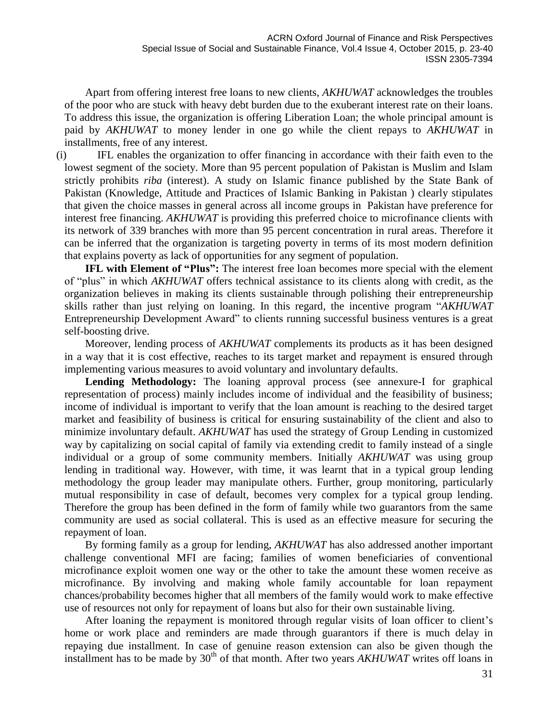Apart from offering interest free loans to new clients, *AKHUWAT* acknowledges the troubles of the poor who are stuck with heavy debt burden due to the exuberant interest rate on their loans. To address this issue, the organization is offering Liberation Loan; the whole principal amount is paid by *AKHUWAT* to money lender in one go while the client repays to *AKHUWAT* in installments, free of any interest.

(i) IFL enables the organization to offer financing in accordance with their faith even to the lowest segment of the society. More than 95 percent population of Pakistan is Muslim and Islam strictly prohibits *riba* (interest). A study on Islamic finance published by the State Bank of Pakistan (Knowledge, Attitude and Practices of Islamic Banking in Pakistan ) clearly stipulates that given the choice masses in general across all income groups in Pakistan have preference for interest free financing. *AKHUWAT* is providing this preferred choice to microfinance clients with its network of 339 branches with more than 95 percent concentration in rural areas. Therefore it can be inferred that the organization is targeting poverty in terms of its most modern definition that explains poverty as lack of opportunities for any segment of population.

**IFL with Element of "Plus":** The interest free loan becomes more special with the element of "plus" in which *AKHUWAT* offers technical assistance to its clients along with credit, as the organization believes in making its clients sustainable through polishing their entrepreneurship skills rather than just relying on loaning. In this regard, the incentive program "*AKHUWAT* Entrepreneurship Development Award" to clients running successful business ventures is a great self-boosting drive.

Moreover, lending process of *AKHUWAT* complements its products as it has been designed in a way that it is cost effective, reaches to its target market and repayment is ensured through implementing various measures to avoid voluntary and involuntary defaults.

**Lending Methodology:** The loaning approval process (see annexure-I for graphical representation of process) mainly includes income of individual and the feasibility of business; income of individual is important to verify that the loan amount is reaching to the desired target market and feasibility of business is critical for ensuring sustainability of the client and also to minimize involuntary default. *AKHUWAT* has used the strategy of Group Lending in customized way by capitalizing on social capital of family via extending credit to family instead of a single individual or a group of some community members. Initially *AKHUWAT* was using group lending in traditional way. However, with time, it was learnt that in a typical group lending methodology the group leader may manipulate others. Further, group monitoring, particularly mutual responsibility in case of default, becomes very complex for a typical group lending. Therefore the group has been defined in the form of family while two guarantors from the same community are used as social collateral. This is used as an effective measure for securing the repayment of loan.

By forming family as a group for lending, *AKHUWAT* has also addressed another important challenge conventional MFI are facing; families of women beneficiaries of conventional microfinance exploit women one way or the other to take the amount these women receive as microfinance. By involving and making whole family accountable for loan repayment chances/probability becomes higher that all members of the family would work to make effective use of resources not only for repayment of loans but also for their own sustainable living.

After loaning the repayment is monitored through regular visits of loan officer to client's home or work place and reminders are made through guarantors if there is much delay in repaying due installment. In case of genuine reason extension can also be given though the installment has to be made by 30<sup>th</sup> of that month. After two years *AKHUWAT* writes off loans in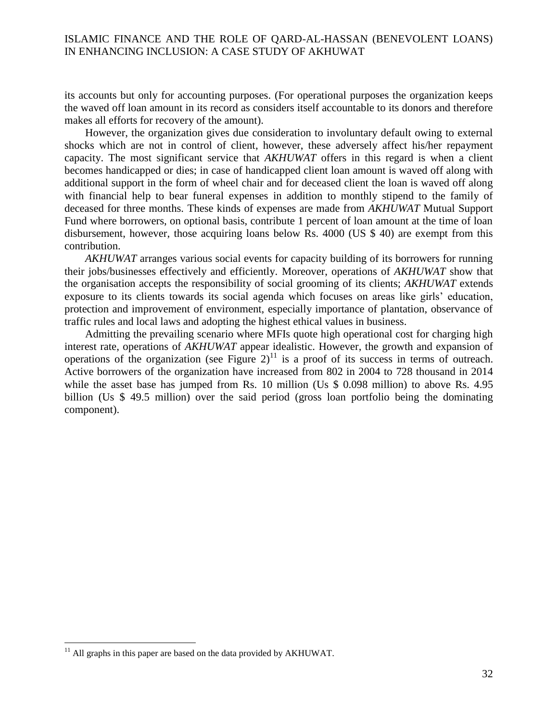its accounts but only for accounting purposes. (For operational purposes the organization keeps the waved off loan amount in its record as considers itself accountable to its donors and therefore makes all efforts for recovery of the amount).

However, the organization gives due consideration to involuntary default owing to external shocks which are not in control of client, however, these adversely affect his/her repayment capacity. The most significant service that *AKHUWAT* offers in this regard is when a client becomes handicapped or dies; in case of handicapped client loan amount is waved off along with additional support in the form of wheel chair and for deceased client the loan is waved off along with financial help to bear funeral expenses in addition to monthly stipend to the family of deceased for three months. These kinds of expenses are made from *AKHUWAT* Mutual Support Fund where borrowers, on optional basis, contribute 1 percent of loan amount at the time of loan disbursement, however, those acquiring loans below Rs. 4000 (US \$ 40) are exempt from this contribution.

*AKHUWAT* arranges various social events for capacity building of its borrowers for running their jobs/businesses effectively and efficiently. Moreover, operations of *AKHUWAT* show that the organisation accepts the responsibility of social grooming of its clients; *AKHUWAT* extends exposure to its clients towards its social agenda which focuses on areas like girls' education, protection and improvement of environment, especially importance of plantation, observance of traffic rules and local laws and adopting the highest ethical values in business.

Admitting the prevailing scenario where MFIs quote high operational cost for charging high interest rate, operations of *AKHUWAT* appear idealistic. However, the growth and expansion of operations of the organization (see Figure  $2$ )<sup>11</sup> is a proof of its success in terms of outreach. Active borrowers of the organization have increased from 802 in 2004 to 728 thousand in 2014 while the asset base has jumped from Rs. 10 million (Us \$ 0.098 million) to above Rs. 4.95 billion (Us \$ 49.5 million) over the said period (gross loan portfolio being the dominating component).

 $11$  All graphs in this paper are based on the data provided by AKHUWAT.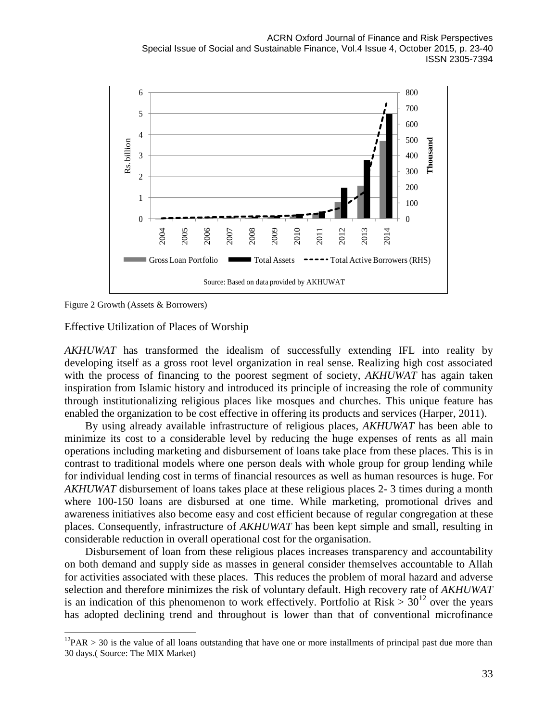

Figure 2 Growth (Assets & Borrowers)

 $\overline{a}$ 

Effective Utilization of Places of Worship

*AKHUWAT* has transformed the idealism of successfully extending IFL into reality by developing itself as a gross root level organization in real sense. Realizing high cost associated with the process of financing to the poorest segment of society, *AKHUWAT* has again taken inspiration from Islamic history and introduced its principle of increasing the role of community through institutionalizing religious places like mosques and churches. This unique feature has enabled the organization to be cost effective in offering its products and services (Harper, 2011).

By using already available infrastructure of religious places, *AKHUWAT* has been able to minimize its cost to a considerable level by reducing the huge expenses of rents as all main operations including marketing and disbursement of loans take place from these places. This is in contrast to traditional models where one person deals with whole group for group lending while for individual lending cost in terms of financial resources as well as human resources is huge. For *AKHUWAT* disbursement of loans takes place at these religious places 2- 3 times during a month where 100-150 loans are disbursed at one time. While marketing, promotional drives and awareness initiatives also become easy and cost efficient because of regular congregation at these places. Consequently, infrastructure of *AKHUWAT* has been kept simple and small, resulting in considerable reduction in overall operational cost for the organisation.

Disbursement of loan from these religious places increases transparency and accountability on both demand and supply side as masses in general consider themselves accountable to Allah for activities associated with these places. This reduces the problem of moral hazard and adverse selection and therefore minimizes the risk of voluntary default. High recovery rate of *AKHUWAT* is an indication of this phenomenon to work effectively. Portfolio at Risk  $> 30^{12}$  over the years has adopted declining trend and throughout is lower than that of conventional microfinance

 $12PAR > 30$  is the value of all loans outstanding that have one or more installments of principal past due more than 30 days.( Source: The MIX Market)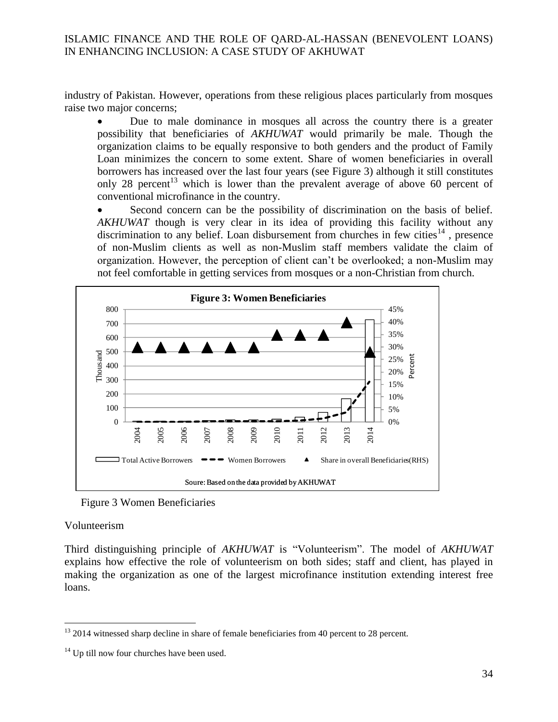industry of Pakistan. However, operations from these religious places particularly from mosques raise two major concerns;

 Due to male dominance in mosques all across the country there is a greater possibility that beneficiaries of *AKHUWAT* would primarily be male. Though the organization claims to be equally responsive to both genders and the product of Family Loan minimizes the concern to some extent. Share of women beneficiaries in overall borrowers has increased over the last four years (see Figure 3) although it still constitutes only 28 percent<sup>13</sup> which is lower than the prevalent average of above 60 percent of conventional microfinance in the country.

 Second concern can be the possibility of discrimination on the basis of belief. *AKHUWAT* though is very clear in its idea of providing this facility without any discrimination to any belief. Loan disbursement from churches in few cities<sup>14</sup>, presence of non-Muslim clients as well as non-Muslim staff members validate the claim of organization. However, the perception of client can't be overlooked; a non-Muslim may not feel comfortable in getting services from mosques or a non-Christian from church.



Figure 3 Women Beneficiaries

#### Volunteerism

 $\overline{a}$ 

Third distinguishing principle of *AKHUWAT* is "Volunteerism". The model of *AKHUWAT* explains how effective the role of volunteerism on both sides; staff and client, has played in making the organization as one of the largest microfinance institution extending interest free loans.

<sup>&</sup>lt;sup>13</sup> 2014 witnessed sharp decline in share of female beneficiaries from 40 percent to 28 percent.

 $14$  Up till now four churches have been used.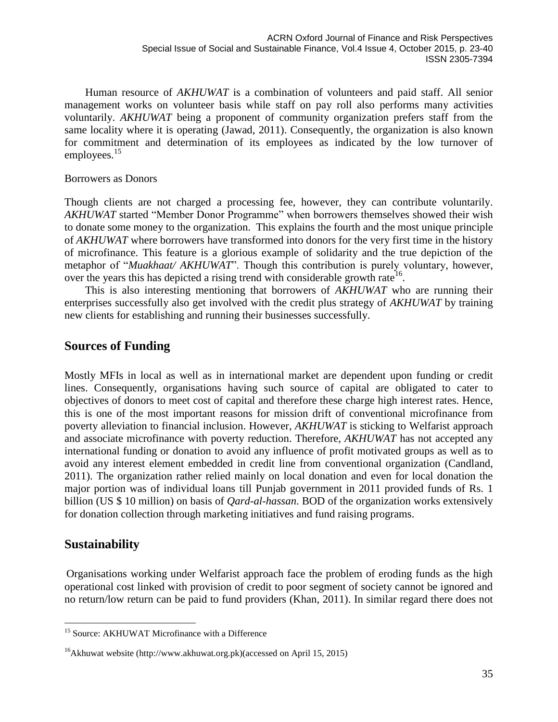Human resource of *AKHUWAT* is a combination of volunteers and paid staff. All senior management works on volunteer basis while staff on pay roll also performs many activities voluntarily. *AKHUWAT* being a proponent of community organization prefers staff from the same locality where it is operating (Jawad, 2011). Consequently, the organization is also known for commitment and determination of its employees as indicated by the low turnover of employees.<sup>15</sup>

#### Borrowers as Donors

Though clients are not charged a processing fee, however, they can contribute voluntarily. *AKHUWAT* started "Member Donor Programme" when borrowers themselves showed their wish to donate some money to the organization. This explains the fourth and the most unique principle of *AKHUWAT* where borrowers have transformed into donors for the very first time in the history of microfinance. This feature is a glorious example of solidarity and the true depiction of the metaphor of "*Muakhaat/ AKHUWAT*". Though this contribution is purely voluntary, however, over the years this has depicted a rising trend with considerable growth rate<sup>16</sup>.

This is also interesting mentioning that borrowers of *AKHUWAT* who are running their enterprises successfully also get involved with the credit plus strategy of *AKHUWAT* by training new clients for establishing and running their businesses successfully.

# **Sources of Funding**

Mostly MFIs in local as well as in international market are dependent upon funding or credit lines. Consequently, organisations having such source of capital are obligated to cater to objectives of donors to meet cost of capital and therefore these charge high interest rates. Hence, this is one of the most important reasons for mission drift of conventional microfinance from poverty alleviation to financial inclusion. However, *AKHUWAT* is sticking to Welfarist approach and associate microfinance with poverty reduction. Therefore, *AKHUWAT* has not accepted any international funding or donation to avoid any influence of profit motivated groups as well as to avoid any interest element embedded in credit line from conventional organization (Candland, 2011). The organization rather relied mainly on local donation and even for local donation the major portion was of individual loans till Punjab government in 2011 provided funds of Rs. 1 billion (US \$ 10 million) on basis of *Qard-al-hassan*. BOD of the organization works extensively for donation collection through marketing initiatives and fund raising programs.

# **Sustainability**

 $\overline{a}$ 

Organisations working under Welfarist approach face the problem of eroding funds as the high operational cost linked with provision of credit to poor segment of society cannot be ignored and no return/low return can be paid to fund providers (Khan, 2011). In similar regard there does not

<sup>&</sup>lt;sup>15</sup> Source: AKHUWAT Microfinance with a Difference

<sup>&</sup>lt;sup>16</sup>Akhuwat website [\(http://www.akhuwat.org.pk\)\(accessed](http://www.akhuwat.org.pk)(accessed/) on April 15, 2015)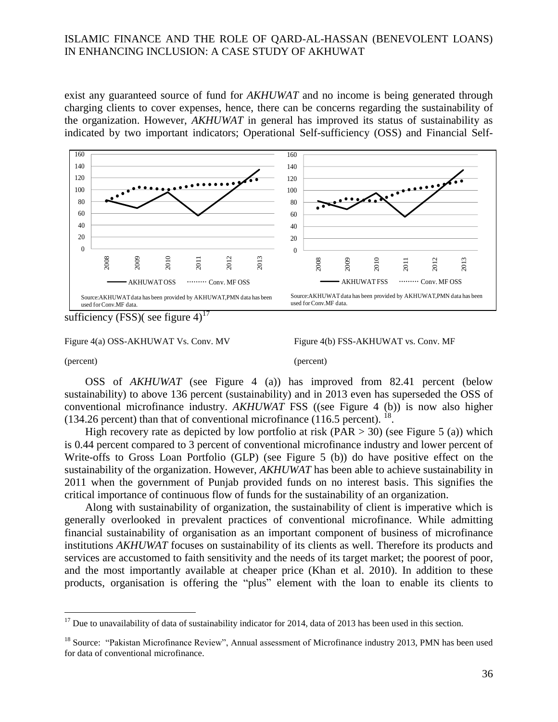exist any guaranteed source of fund for *AKHUWAT* and no income is being generated through charging clients to cover expenses, hence, there can be concerns regarding the sustainability of the organization. However, *AKHUWAT* in general has improved its status of sustainability as indicated by two important indicators; Operational Self-sufficiency (OSS) and Financial Self-



sufficiency (FSS)( see figure  $4$ )<sup>17</sup>

 $\overline{a}$ 

(percent) (percent)

OSS of *AKHUWAT* (see Figure 4 (a)) has improved from 82.41 percent (below sustainability) to above 136 percent (sustainability) and in 2013 even has superseded the OSS of conventional microfinance industry. *AKHUWAT* FSS ((see Figure 4 (b)) is now also higher  $(134.26$  percent) than that of conventional microfinance  $(116.5$  percent). <sup>18</sup>.

High recovery rate as depicted by low portfolio at risk (PAR  $>$  30) (see Figure 5 (a)) which is 0.44 percent compared to 3 percent of conventional microfinance industry and lower percent of Write-offs to Gross Loan Portfolio (GLP) (see Figure 5 (b)) do have positive effect on the sustainability of the organization. However, *AKHUWAT* has been able to achieve sustainability in 2011 when the government of Punjab provided funds on no interest basis. This signifies the critical importance of continuous flow of funds for the sustainability of an organization.

Along with sustainability of organization, the sustainability of client is imperative which is generally overlooked in prevalent practices of conventional microfinance. While admitting financial sustainability of organisation as an important component of business of microfinance institutions *AKHUWAT* focuses on sustainability of its clients as well. Therefore its products and services are accustomed to faith sensitivity and the needs of its target market; the poorest of poor, and the most importantly available at cheaper price (Khan et al. 2010). In addition to these products, organisation is offering the "plus" element with the loan to enable its clients to

Figure 4(a) OSS-AKHUWAT Vs. Conv. MV Figure 4(b) FSS-AKHUWAT vs. Conv. MF

 $17$  Due to unavailability of data of sustainability indicator for 2014, data of 2013 has been used in this section.

<sup>&</sup>lt;sup>18</sup> Source: "Pakistan Microfinance Review", Annual assessment of Microfinance industry 2013, PMN has been used for data of conventional microfinance.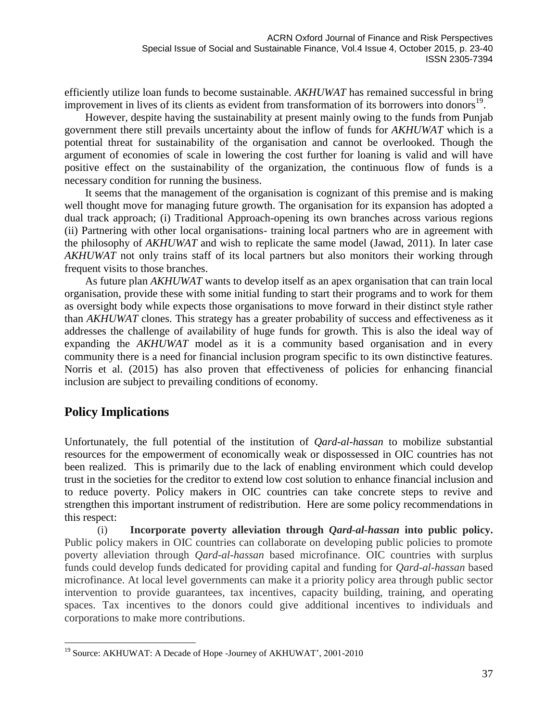efficiently utilize loan funds to become sustainable. *AKHUWAT* has remained successful in bring improvement in lives of its clients as evident from transformation of its borrowers into donors<sup>19</sup>.

However, despite having the sustainability at present mainly owing to the funds from Punjab government there still prevails uncertainty about the inflow of funds for *AKHUWAT* which is a potential threat for sustainability of the organisation and cannot be overlooked. Though the argument of economies of scale in lowering the cost further for loaning is valid and will have positive effect on the sustainability of the organization, the continuous flow of funds is a necessary condition for running the business.

It seems that the management of the organisation is cognizant of this premise and is making well thought move for managing future growth. The organisation for its expansion has adopted a dual track approach; (i) Traditional Approach-opening its own branches across various regions (ii) Partnering with other local organisations- training local partners who are in agreement with the philosophy of *AKHUWAT* and wish to replicate the same model (Jawad, 2011). In later case *AKHUWAT* not only trains staff of its local partners but also monitors their working through frequent visits to those branches.

As future plan *AKHUWAT* wants to develop itself as an apex organisation that can train local organisation, provide these with some initial funding to start their programs and to work for them as oversight body while expects those organisations to move forward in their distinct style rather than *AKHUWAT* clones. This strategy has a greater probability of success and effectiveness as it addresses the challenge of availability of huge funds for growth. This is also the ideal way of expanding the *AKHUWAT* model as it is a community based organisation and in every community there is a need for financial inclusion program specific to its own distinctive features. Norris et al. (2015) has also proven that effectiveness of policies for enhancing financial inclusion are subject to prevailing conditions of economy.

# **Policy Implications**

 $\overline{a}$ 

Unfortunately, the full potential of the institution of *Qard-al-hassan* to mobilize substantial resources for the empowerment of economically weak or dispossessed in OIC countries has not been realized. This is primarily due to the lack of enabling environment which could develop trust in the societies for the creditor to extend low cost solution to enhance financial inclusion and to reduce poverty. Policy makers in OIC countries can take concrete steps to revive and strengthen this important instrument of redistribution. Here are some policy recommendations in this respect:

(i) **Incorporate poverty alleviation through** *Qard-al-hassan* **into public policy.** Public policy makers in OIC countries can collaborate on developing public policies to promote poverty alleviation through *Qard-al-hassan* based microfinance. OIC countries with surplus funds could develop funds dedicated for providing capital and funding for *Qard-al-hassan* based microfinance. At local level governments can make it a priority policy area through public sector intervention to provide guarantees, tax incentives, capacity building, training, and operating spaces. Tax incentives to the donors could give additional incentives to individuals and corporations to make more contributions.

<sup>19</sup> Source: AKHUWAT: A Decade of Hope -Journey of AKHUWAT', 2001-2010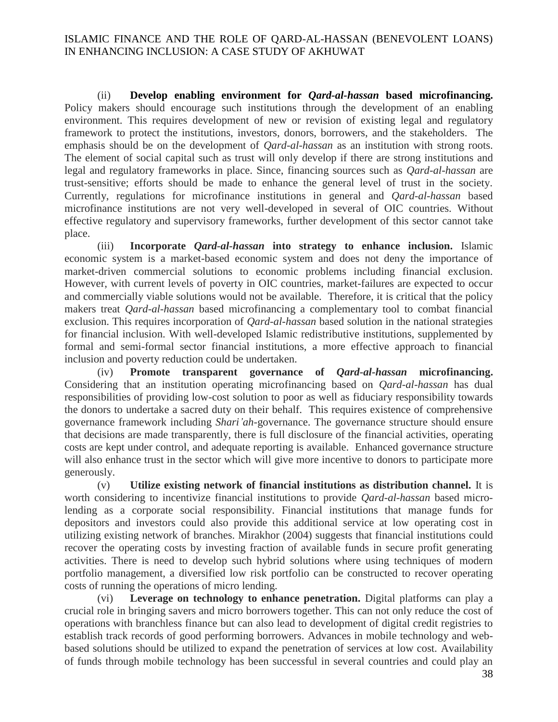(ii) **Develop enabling environment for** *Qard-al-hassan* **based microfinancing.** Policy makers should encourage such institutions through the development of an enabling environment. This requires development of new or revision of existing legal and regulatory framework to protect the institutions, investors, donors, borrowers, and the stakeholders. The emphasis should be on the development of *Qard-al-hassan* as an institution with strong roots. The element of social capital such as trust will only develop if there are strong institutions and legal and regulatory frameworks in place. Since, financing sources such as *Qard-al-hassan* are trust-sensitive; efforts should be made to enhance the general level of trust in the society. Currently, regulations for microfinance institutions in general and *Qard-al-hassan* based microfinance institutions are not very well-developed in several of OIC countries. Without effective regulatory and supervisory frameworks, further development of this sector cannot take place.

(iii) **Incorporate** *Qard-al-hassan* **into strategy to enhance inclusion.** Islamic economic system is a market-based economic system and does not deny the importance of market-driven commercial solutions to economic problems including financial exclusion. However, with current levels of poverty in OIC countries, market-failures are expected to occur and commercially viable solutions would not be available. Therefore, it is critical that the policy makers treat *Qard-al-hassan* based microfinancing a complementary tool to combat financial exclusion. This requires incorporation of *Qard-al-hassan* based solution in the national strategies for financial inclusion. With well-developed Islamic redistributive institutions, supplemented by formal and semi-formal sector financial institutions, a more effective approach to financial inclusion and poverty reduction could be undertaken.

(iv) **Promote transparent governance of** *Qard-al-hassan* **microfinancing.** Considering that an institution operating microfinancing based on *Qard-al-hassan* has dual responsibilities of providing low-cost solution to poor as well as fiduciary responsibility towards the donors to undertake a sacred duty on their behalf. This requires existence of comprehensive governance framework including *Shari'ah*-governance. The governance structure should ensure that decisions are made transparently, there is full disclosure of the financial activities, operating costs are kept under control, and adequate reporting is available. Enhanced governance structure will also enhance trust in the sector which will give more incentive to donors to participate more generously.

(v) **Utilize existing network of financial institutions as distribution channel.** It is worth considering to incentivize financial institutions to provide *Qard-al-hassan* based microlending as a corporate social responsibility. Financial institutions that manage funds for depositors and investors could also provide this additional service at low operating cost in utilizing existing network of branches. Mirakhor (2004) suggests that financial institutions could recover the operating costs by investing fraction of available funds in secure profit generating activities. There is need to develop such hybrid solutions where using techniques of modern portfolio management, a diversified low risk portfolio can be constructed to recover operating costs of running the operations of micro lending.

(vi) **Leverage on technology to enhance penetration.** Digital platforms can play a crucial role in bringing savers and micro borrowers together. This can not only reduce the cost of operations with branchless finance but can also lead to development of digital credit registries to establish track records of good performing borrowers. Advances in mobile technology and webbased solutions should be utilized to expand the penetration of services at low cost. Availability of funds through mobile technology has been successful in several countries and could play an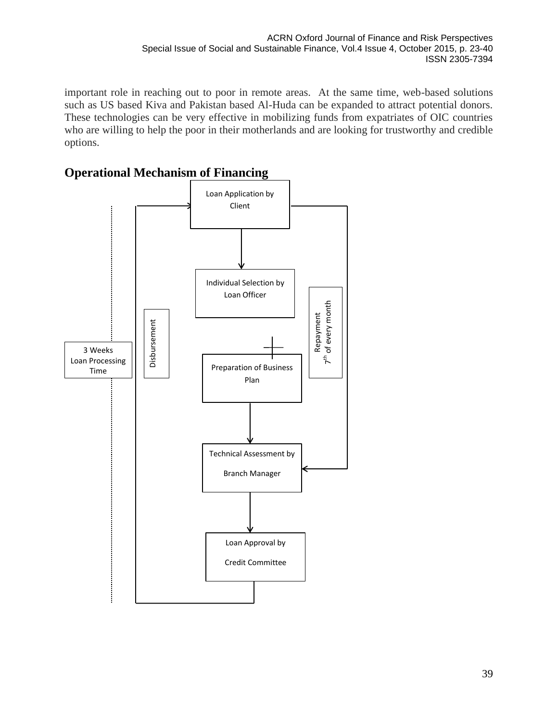important role in reaching out to poor in remote areas. At the same time, web-based solutions such as US based Kiva and Pakistan based Al-Huda can be expanded to attract potential donors. These technologies can be very effective in mobilizing funds from expatriates of OIC countries who are willing to help the poor in their motherlands and are looking for trustworthy and credible options.



# **Operational Mechanism of Financing**